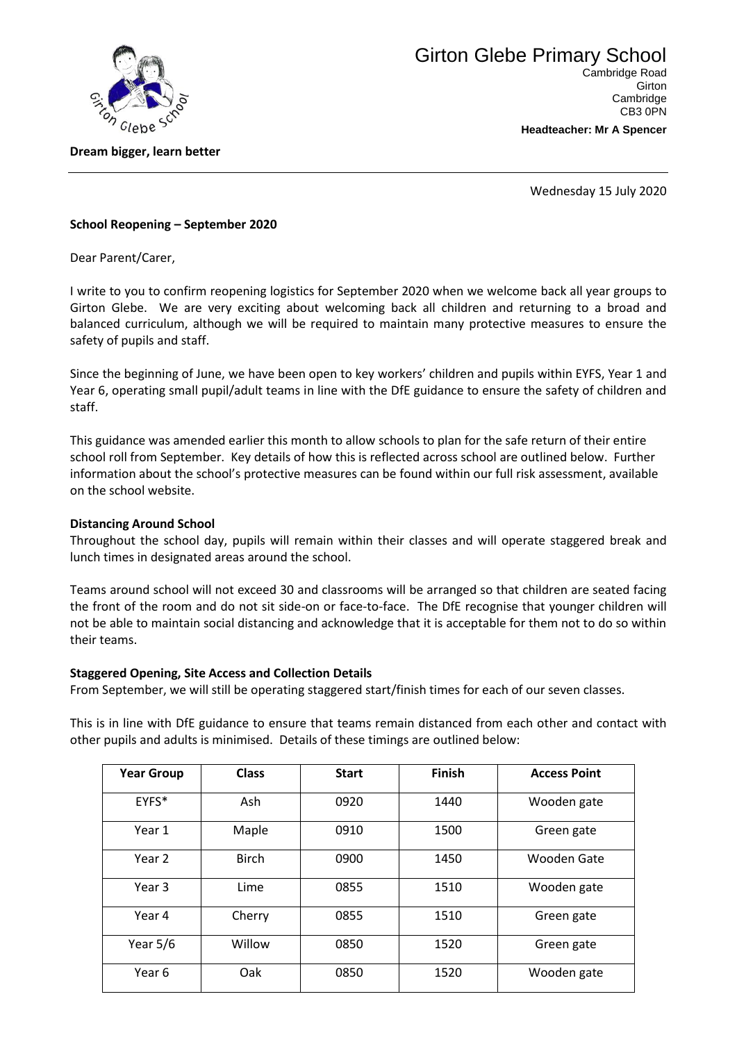

**Dream bigger, learn better**

**Headteacher: Mr A Spencer**

CB3 0PN

Wednesday 15 July 2020

## **School Reopening – September 2020**

Dear Parent/Carer,

I write to you to confirm reopening logistics for September 2020 when we welcome back all year groups to Girton Glebe. We are very exciting about welcoming back all children and returning to a broad and balanced curriculum, although we will be required to maintain many protective measures to ensure the safety of pupils and staff.

Since the beginning of June, we have been open to key workers' children and pupils within EYFS, Year 1 and Year 6, operating small pupil/adult teams in line with the DfE guidance to ensure the safety of children and staff.

This guidance was amended earlier this month to allow schools to plan for the safe return of their entire school roll from September. Key details of how this is reflected across school are outlined below. Further information about the school's protective measures can be found within our full risk assessment, available on the school website.

## **Distancing Around School**

Throughout the school day, pupils will remain within their classes and will operate staggered break and lunch times in designated areas around the school.

Teams around school will not exceed 30 and classrooms will be arranged so that children are seated facing the front of the room and do not sit side-on or face-to-face. The DfE recognise that younger children will not be able to maintain social distancing and acknowledge that it is acceptable for them not to do so within their teams.

#### **Staggered Opening, Site Access and Collection Details**

From September, we will still be operating staggered start/finish times for each of our seven classes.

This is in line with DfE guidance to ensure that teams remain distanced from each other and contact with other pupils and adults is minimised. Details of these timings are outlined below:

| <b>Year Group</b> | <b>Class</b> | <b>Start</b> | <b>Finish</b> | <b>Access Point</b> |
|-------------------|--------------|--------------|---------------|---------------------|
| EYFS*             | Ash          | 0920         | 1440          | Wooden gate         |
| Year 1            | Maple        | 0910         | 1500          | Green gate          |
| Year 2            | <b>Birch</b> | 0900         | 1450          | <b>Wooden Gate</b>  |
| Year 3            | Lime         | 0855         | 1510          | Wooden gate         |
| Year 4            | Cherry       | 0855         | 1510          | Green gate          |
| Year $5/6$        | Willow       | 0850         | 1520          | Green gate          |
| Year 6            | Oak          | 0850         | 1520          | Wooden gate         |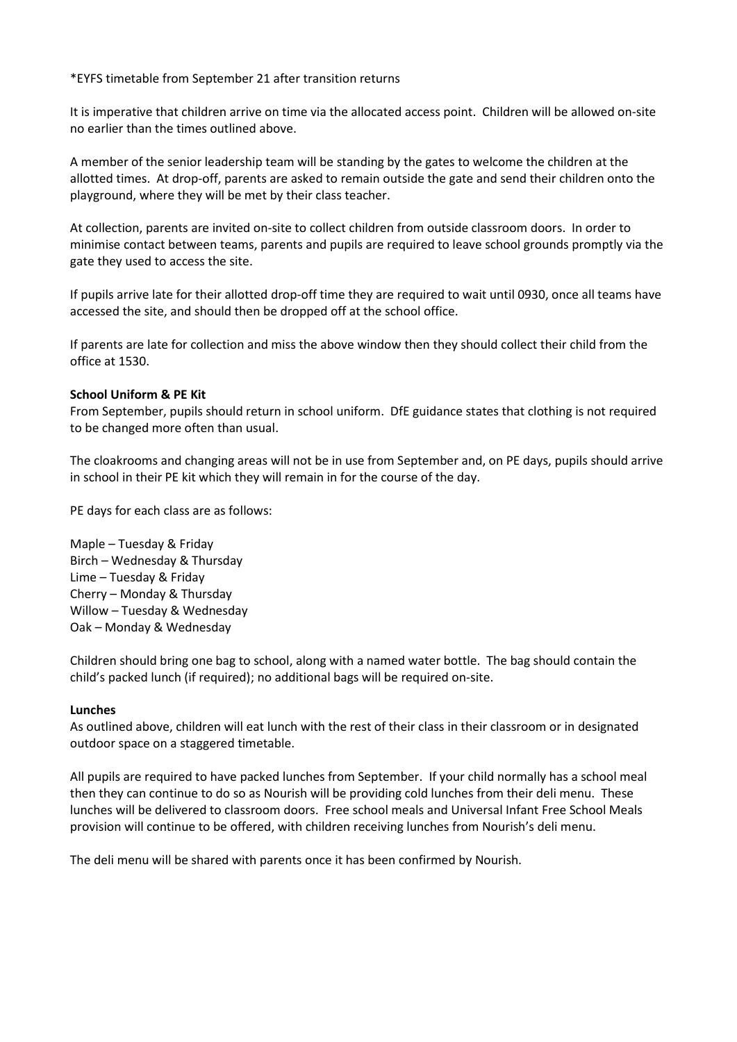## \*EYFS timetable from September 21 after transition returns

It is imperative that children arrive on time via the allocated access point. Children will be allowed on-site no earlier than the times outlined above.

A member of the senior leadership team will be standing by the gates to welcome the children at the allotted times. At drop-off, parents are asked to remain outside the gate and send their children onto the playground, where they will be met by their class teacher.

At collection, parents are invited on-site to collect children from outside classroom doors. In order to minimise contact between teams, parents and pupils are required to leave school grounds promptly via the gate they used to access the site.

If pupils arrive late for their allotted drop-off time they are required to wait until 0930, once all teams have accessed the site, and should then be dropped off at the school office.

If parents are late for collection and miss the above window then they should collect their child from the office at 1530.

#### **School Uniform & PE Kit**

From September, pupils should return in school uniform. DfE guidance states that clothing is not required to be changed more often than usual.

The cloakrooms and changing areas will not be in use from September and, on PE days, pupils should arrive in school in their PE kit which they will remain in for the course of the day.

PE days for each class are as follows:

Maple – Tuesday & Friday Birch – Wednesday & Thursday Lime – Tuesday & Friday Cherry – Monday & Thursday Willow – Tuesday & Wednesday Oak – Monday & Wednesday

Children should bring one bag to school, along with a named water bottle. The bag should contain the child's packed lunch (if required); no additional bags will be required on-site.

## **Lunches**

As outlined above, children will eat lunch with the rest of their class in their classroom or in designated outdoor space on a staggered timetable.

All pupils are required to have packed lunches from September. If your child normally has a school meal then they can continue to do so as Nourish will be providing cold lunches from their deli menu. These lunches will be delivered to classroom doors. Free school meals and Universal Infant Free School Meals provision will continue to be offered, with children receiving lunches from Nourish's deli menu.

The deli menu will be shared with parents once it has been confirmed by Nourish.